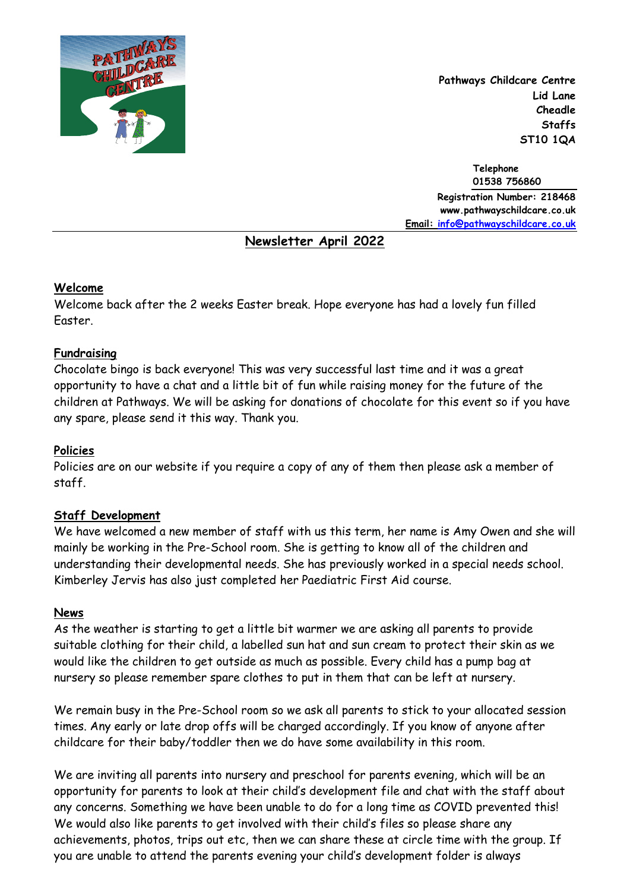

**Pathways Childcare Centre Lid Lane Cheadle Staffs ST10 1QA**

**Telephone 01538 756860 Registration Number: 218468 www.pathwayschildcare.co.uk Email: [info@pathwayschildcare.co.uk](mailto:info@pathwayschildcare.co.uk)** 

# **Newsletter April 2022**

### **Welcome**

Welcome back after the 2 weeks Easter break. Hope everyone has had a lovely fun filled Easter.

## **Fundraising**

Chocolate bingo is back everyone! This was very successful last time and it was a great opportunity to have a chat and a little bit of fun while raising money for the future of the children at Pathways. We will be asking for donations of chocolate for this event so if you have any spare, please send it this way. Thank you.

## **Policies**

Policies are on our website if you require a copy of any of them then please ask a member of staff.

### **Staff Development**

We have welcomed a new member of staff with us this term, her name is Amy Owen and she will mainly be working in the Pre-School room. She is getting to know all of the children and understanding their developmental needs. She has previously worked in a special needs school. Kimberley Jervis has also just completed her Paediatric First Aid course.

### **News**

As the weather is starting to get a little bit warmer we are asking all parents to provide suitable clothing for their child, a labelled sun hat and sun cream to protect their skin as we would like the children to get outside as much as possible. Every child has a pump bag at nursery so please remember spare clothes to put in them that can be left at nursery.

We remain busy in the Pre-School room so we ask all parents to stick to your allocated session times. Any early or late drop offs will be charged accordingly. If you know of anyone after childcare for their baby/toddler then we do have some availability in this room.

We are inviting all parents into nursery and preschool for parents evening, which will be an opportunity for parents to look at their child's development file and chat with the staff about any concerns. Something we have been unable to do for a long time as COVID prevented this! We would also like parents to get involved with their child's files so please share any achievements, photos, trips out etc, then we can share these at circle time with the group. If you are unable to attend the parents evening your child's development folder is always